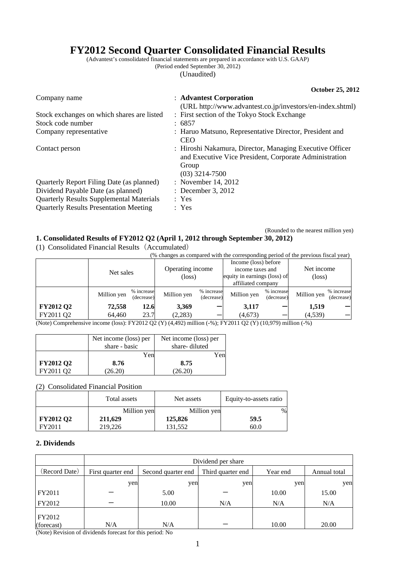# **FY2012 Second Quarter Consolidated Financial Results**

(Advantest's consolidated financial statements are prepared in accordance with U.S. GAAP) (Period ended September 30, 2012)

(Unaudited)

|                                                 | October 25, 2012                                                                                                                                |
|-------------------------------------------------|-------------------------------------------------------------------------------------------------------------------------------------------------|
| Company name                                    | : Advantest Corporation<br>(URL http://www.advantest.co.jp/investors/en-index.shtml)                                                            |
| Stock exchanges on which shares are listed      | : First section of the Tokyo Stock Exchange                                                                                                     |
| Stock code number                               | : 6857                                                                                                                                          |
| Company representative                          | : Haruo Matsuno, Representative Director, President and<br><b>CEO</b>                                                                           |
| Contact person                                  | : Hiroshi Nakamura, Director, Managing Executive Officer<br>and Executive Vice President, Corporate Administration<br>Group<br>$(03)$ 3214-7500 |
| Quarterly Report Filing Date (as planned)       | : November 14, 2012                                                                                                                             |
| Dividend Payable Date (as planned)              | $\therefore$ December 3, 2012                                                                                                                   |
| <b>Quarterly Results Supplemental Materials</b> | : Yes                                                                                                                                           |
| <b>Quarterly Results Presentation Meeting</b>   | : Yes                                                                                                                                           |

(Rounded to the nearest million yen)

### **1. Consolidated Results of FY2012 Q2 (April 1, 2012 through September 30, 2012)**

(1) Consolidated Financial Results(Accumulated)

| $\sim$ 0.110 0.11 www.s $\sim$ 1.11 will stay the state of the state of the state of the state of the state of the state of the state of the state of the state of the state of the state of the state of the state of the state |             |                          |                            |                          |                                                                                                |                          |                               |                          |
|----------------------------------------------------------------------------------------------------------------------------------------------------------------------------------------------------------------------------------|-------------|--------------------------|----------------------------|--------------------------|------------------------------------------------------------------------------------------------|--------------------------|-------------------------------|--------------------------|
| (% changes as compared with the corresponding period of the previous fiscal year)                                                                                                                                                |             |                          |                            |                          |                                                                                                |                          |                               |                          |
|                                                                                                                                                                                                                                  | Net sales   |                          | Operating income<br>(loss) |                          | Income (loss) before<br>income taxes and<br>equity in earnings (loss) of<br>affiliated company |                          | Net income<br>$(\text{loss})$ |                          |
|                                                                                                                                                                                                                                  | Million yen | % increase<br>(decrease) | Million yen                | % increase<br>(decrease) | Million yen                                                                                    | % increase<br>(decrease) | Million yen                   | % increase<br>(decrease) |
| <b>FY2012 Q2</b>                                                                                                                                                                                                                 | 72,558      | 12.6                     | 3,369                      |                          | 3,117                                                                                          |                          | 1,519                         |                          |
| FY2011 Q2                                                                                                                                                                                                                        | 64.460      | 23.7                     | (2,283)                    |                          | (4, 673)                                                                                       |                          | (4,539)                       |                          |

(Note) Comprehensive income (loss): FY2012 Q2 (Y) (4,492) million (-%); FY2011 Q2 (Y) (10,979) million (-%)

|                  | Net income (loss) per | Net income (loss) per |  |
|------------------|-----------------------|-----------------------|--|
|                  | share - basic         | share-diluted         |  |
|                  | Yen                   | Yen                   |  |
| <b>FY2012 Q2</b> | 8.76                  | 8.75                  |  |
| FY2011 O2        | 26.20)                | 26.20)                |  |

(2) Consolidated Financial Position

|           | Total assets | Net assets  | Equity-to-assets ratio |
|-----------|--------------|-------------|------------------------|
|           | Million yen  | Million yen | $\%$                   |
| FY2012 Q2 | 211,629      | 125,826     | 59.5                   |
| FY2011    | 219,226      | 131.552     | 60.0                   |

### **2. Dividends**

|                      | Dividend per share |                    |                   |          |              |  |  |
|----------------------|--------------------|--------------------|-------------------|----------|--------------|--|--|
| (Record Date)        | First quarter end  | Second quarter end | Third quarter end | Year end | Annual total |  |  |
|                      | yen                | yen                | yen               | yen      | yen          |  |  |
| FY2011               |                    | 5.00               |                   | 10.00    | 15.00        |  |  |
| FY2012               |                    | 10.00              | N/A               | N/A      | N/A          |  |  |
| FY2012<br>(forecast) | N/A                | N/A                |                   | 10.00    | 20.00        |  |  |

(Note) Revision of dividends forecast for this period: No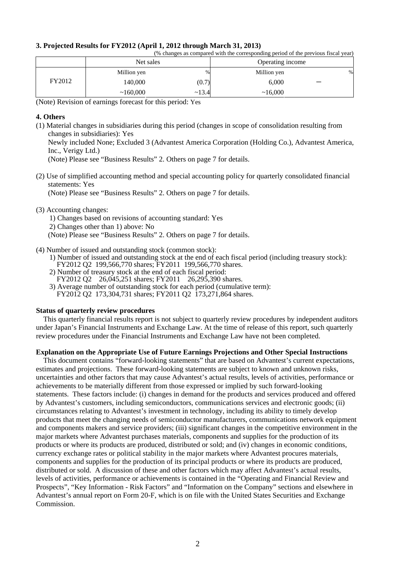#### **3. Projected Results for FY2012 (April 1, 2012 through March 31, 2013)**

(% changes as compared with the corresponding period of the previous fiscal year)

|        | Net sales   |       | Operating income |      |
|--------|-------------|-------|------------------|------|
|        | Million yen | %     | Million yen      | $\%$ |
| FY2012 | 140,000     | (0.7) | 6,000            | -    |
|        | ~160,000    | ~13.4 | ~16,000          |      |

(Note) Revision of earnings forecast for this period: Yes

#### **4. Others**

(1) Material changes in subsidiaries during this period (changes in scope of consolidation resulting from changes in subsidiaries): Yes

Newly included None; Excluded 3 (Advantest America Corporation (Holding Co.), Advantest America, Inc., Verigy Ltd.)

(Note) Please see "Business Results" 2. Others on page 7 for details.

(2) Use of simplified accounting method and special accounting policy for quarterly consolidated financial statements: Yes

(Note) Please see "Business Results" 2. Others on page 7 for details.

(3) Accounting changes:

1) Changes based on revisions of accounting standard: Yes 2) Changes other than 1) above: No

- (Note) Please see "Business Results" 2. Others on page 7 for details.
- (4) Number of issued and outstanding stock (common stock):
	- 1) Number of issued and outstanding stock at the end of each fiscal period (including treasury stock): FY2012 Q2 199,566,770 shares; FY2011 199,566,770 shares.
	- 2) Number of treasury stock at the end of each fiscal period: FY2012 Q2 26,045,251 shares; FY2011 26,295,390 shares.
	- 3) Average number of outstanding stock for each period (cumulative term): FY2012 Q2 173,304,731 shares; FY2011 Q2 173,271,864 shares.

#### **Status of quarterly review procedures**

This quarterly financial results report is not subject to quarterly review procedures by independent auditors under Japan's Financial Instruments and Exchange Law. At the time of release of this report, such quarterly review procedures under the Financial Instruments and Exchange Law have not been completed.

#### **Explanation on the Appropriate Use of Future Earnings Projections and Other Special Instructions**

This document contains "forward-looking statements" that are based on Advantest's current expectations, estimates and projections. These forward-looking statements are subject to known and unknown risks, uncertainties and other factors that may cause Advantest's actual results, levels of activities, performance or achievements to be materially different from those expressed or implied by such forward-looking statements. These factors include: (i) changes in demand for the products and services produced and offered by Advantest's customers, including semiconductors, communications services and electronic goods; (ii) circumstances relating to Advantest's investment in technology, including its ability to timely develop products that meet the changing needs of semiconductor manufacturers, communications network equipment and components makers and service providers; (iii) significant changes in the competitive environment in the major markets where Advantest purchases materials, components and supplies for the production of its products or where its products are produced, distributed or sold; and (iv) changes in economic conditions, currency exchange rates or political stability in the major markets where Advantest procures materials, components and supplies for the production of its principal products or where its products are produced, distributed or sold. A discussion of these and other factors which may affect Advantest's actual results, levels of activities, performance or achievements is contained in the "Operating and Financial Review and Prospects", "Key Information - Risk Factors" and "Information on the Company" sections and elsewhere in Advantest's annual report on Form 20-F, which is on file with the United States Securities and Exchange Commission.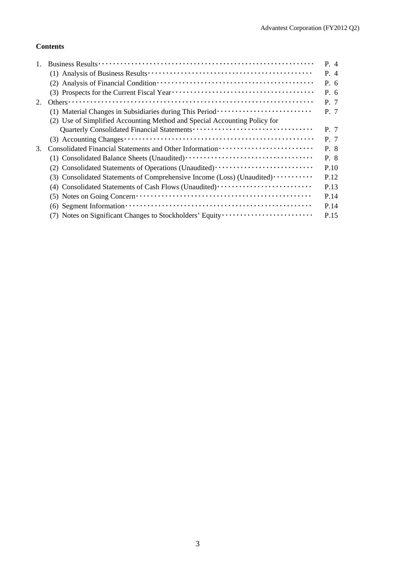### **Contents**

|    |                                                                                                                                       | P. 4 |
|----|---------------------------------------------------------------------------------------------------------------------------------------|------|
|    |                                                                                                                                       | P. 4 |
|    |                                                                                                                                       | P. 6 |
|    |                                                                                                                                       | P.6  |
| 2. |                                                                                                                                       | P. 7 |
|    | (1) Material Changes in Subsidiaries during This Period ························                                                      | P. 7 |
|    | (2) Use of Simplified Accounting Method and Special Accounting Policy for                                                             |      |
|    |                                                                                                                                       | P. 7 |
|    |                                                                                                                                       | P. 7 |
| 3. |                                                                                                                                       | P. 8 |
|    |                                                                                                                                       | P. 8 |
|    |                                                                                                                                       | P.10 |
|    | (3) Consolidated Statements of Comprehensive Income (Loss) (Unaudited)                                                                | P.12 |
|    | (4) Consolidated Statements of Cash Flows (Unaudited)                                                                                 | P.13 |
|    | $(5)$ Notes on Going Concern $\dots \dots \dots \dots \dots \dots \dots \dots \dots \dots \dots \dots \dots \dots \dots$              | P.14 |
|    | $(6)$ Segment Information $\cdots$ $\cdots$ $\cdots$ $\cdots$ $\cdots$ $\cdots$ $\cdots$ $\cdots$ $\cdots$ $\cdots$ $\cdots$ $\cdots$ | P.14 |
|    | (7) Notes on Significant Changes to Stockholders' Equity                                                                              | P.15 |
|    |                                                                                                                                       |      |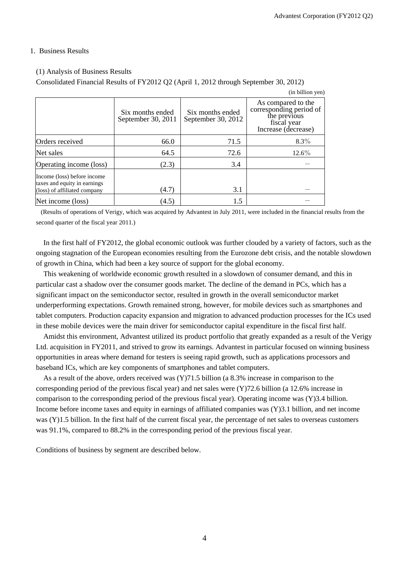#### 1. Business Results

#### (1) Analysis of Business Results

Consolidated Financial Results of FY2012 Q2 (April 1, 2012 through September 30, 2012)

|                                                                                             |                                        |                                        | (in billion yen)                                                                                    |
|---------------------------------------------------------------------------------------------|----------------------------------------|----------------------------------------|-----------------------------------------------------------------------------------------------------|
|                                                                                             | Six months ended<br>September 30, 2011 | Six months ended<br>September 30, 2012 | As compared to the<br>corresponding period of<br>the previous<br>fiscal year<br>Increase (decrease) |
| Orders received                                                                             | 66.0                                   | 71.5                                   | $8.3\%$                                                                                             |
| Net sales                                                                                   | 64.5                                   | 72.6                                   | $12.6\%$                                                                                            |
| Operating income (loss)                                                                     | (2.3)                                  | 3.4                                    |                                                                                                     |
| Income (loss) before income<br>taxes and equity in earnings<br>(loss) of affiliated company | (4.7)                                  | 3.1                                    |                                                                                                     |
| Net income (loss)                                                                           | (4.5)                                  | 1.5                                    |                                                                                                     |

 (Results of operations of Verigy, which was acquired by Advantest in July 2011, were included in the financial results from the second quarter of the fiscal year 2011.)

In the first half of FY2012, the global economic outlook was further clouded by a variety of factors, such as the ongoing stagnation of the European economies resulting from the Eurozone debt crisis, and the notable slowdown of growth in China, which had been a key source of support for the global economy.

This weakening of worldwide economic growth resulted in a slowdown of consumer demand, and this in particular cast a shadow over the consumer goods market. The decline of the demand in PCs, which has a significant impact on the semiconductor sector, resulted in growth in the overall semiconductor market underperforming expectations. Growth remained strong, however, for mobile devices such as smartphones and tablet computers. Production capacity expansion and migration to advanced production processes for the ICs used in these mobile devices were the main driver for semiconductor capital expenditure in the fiscal first half.

Amidst this environment, Advantest utilized its product portfolio that greatly expanded as a result of the Verigy Ltd. acquisition in FY2011, and strived to grow its earnings. Advantest in particular focused on winning business opportunities in areas where demand for testers is seeing rapid growth, such as applications processors and baseband ICs, which are key components of smartphones and tablet computers.

As a result of the above, orders received was (Y)71.5 billion (a 8.3% increase in comparison to the corresponding period of the previous fiscal year) and net sales were (Y)72.6 billion (a 12.6% increase in comparison to the corresponding period of the previous fiscal year). Operating income was (Y)3.4 billion. Income before income taxes and equity in earnings of affiliated companies was (Y)3.1 billion, and net income was (Y)1.5 billion. In the first half of the current fiscal year, the percentage of net sales to overseas customers was 91.1%, compared to 88.2% in the corresponding period of the previous fiscal year.

Conditions of business by segment are described below.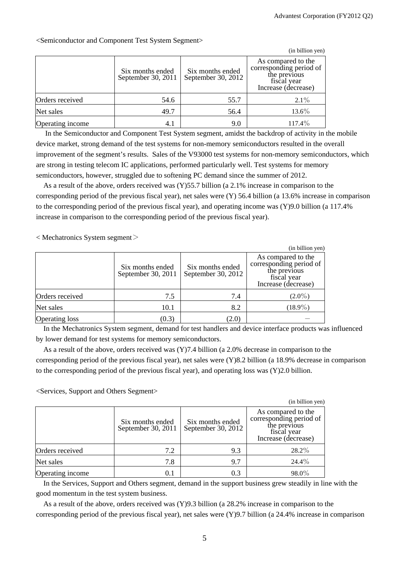|                  |                                        |                                        | (in billion yen)                                                                                    |
|------------------|----------------------------------------|----------------------------------------|-----------------------------------------------------------------------------------------------------|
|                  | Six months ended<br>September 30, 2011 | Six months ended<br>September 30, 2012 | As compared to the<br>corresponding period of<br>the previous<br>fiscal year<br>Increase (decrease) |
| Orders received  | 54.6                                   | 55.7                                   | $2.1\%$                                                                                             |
| Net sales        | 49.7                                   | 56.4                                   | $13.6\%$                                                                                            |
| Operating income | 4.1                                    | 9.0                                    | 117.4%                                                                                              |

<Semiconductor and Component Test System Segment>

 In the Semiconductor and Component Test System segment, amidst the backdrop of activity in the mobile device market, strong demand of the test systems for non-memory semiconductors resulted in the overall improvement of the segment's results. Sales of the V93000 test systems for non-memory semiconductors, which are strong in testing telecom IC applications, performed particularly well. Test systems for memory semiconductors, however, struggled due to softening PC demand since the summer of 2012.

As a result of the above, orders received was (Y)55.7 billion (a 2.1% increase in comparison to the corresponding period of the previous fiscal year), net sales were (Y) 56.4 billion (a 13.6% increase in comparison to the corresponding period of the previous fiscal year), and operating income was (Y)9.0 billion (a 117.4% increase in comparison to the corresponding period of the previous fiscal year).

 $\langle$  Mechatronics System segment $\langle$ 

|                       |                                        |                                        | (in billion yen)                                                                                    |
|-----------------------|----------------------------------------|----------------------------------------|-----------------------------------------------------------------------------------------------------|
|                       | Six months ended<br>September 30, 2011 | Six months ended<br>September 30, 2012 | As compared to the<br>corresponding period of<br>the previous<br>fiscal year<br>Increase (decrease) |
| Orders received       | 7.5                                    | 7.4                                    | $(2.0\%)$                                                                                           |
| Net sales             | 10.1                                   | 8.2                                    | $(18.9\%)$                                                                                          |
| <b>Operating loss</b> | (0.3)                                  | (2.0)                                  |                                                                                                     |

In the Mechatronics System segment, demand for test handlers and device interface products was influenced by lower demand for test systems for memory semiconductors.

As a result of the above, orders received was (Y)7.4 billion (a 2.0% decrease in comparison to the corresponding period of the previous fiscal year), net sales were (Y)8.2 billion (a 18.9% decrease in comparison to the corresponding period of the previous fiscal year), and operating loss was (Y)2.0 billion.

<Services, Support and Others Segment>

|                  |                                        |                                        | (in billion yen)                                                                                    |
|------------------|----------------------------------------|----------------------------------------|-----------------------------------------------------------------------------------------------------|
|                  | Six months ended<br>September 30, 2011 | Six months ended<br>September 30, 2012 | As compared to the<br>corresponding period of<br>the previous<br>fiscal year<br>Increase (decrease) |
| Orders received  | 7.2                                    | 9.3                                    | 28.2%                                                                                               |
| Net sales        | 7.8                                    | 9.7                                    | $24.4\%$                                                                                            |
| Operating income | 0.1                                    | 0.3                                    | 98.0%                                                                                               |

In the Services, Support and Others segment, demand in the support business grew steadily in line with the good momentum in the test system business.

As a result of the above, orders received was (Y)9.3 billion (a 28.2% increase in comparison to the corresponding period of the previous fiscal year), net sales were (Y)9.7 billion (a 24.4% increase in comparison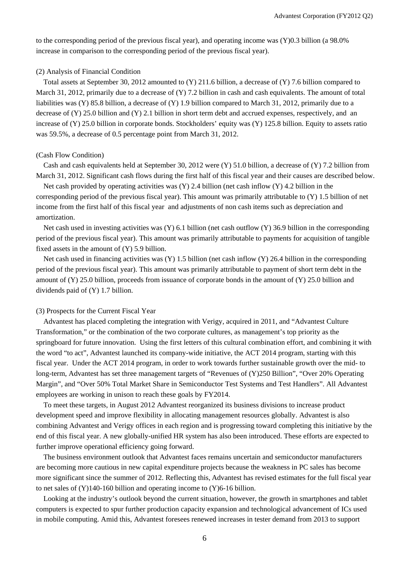to the corresponding period of the previous fiscal year), and operating income was (Y)0.3 billion (a 98.0% increase in comparison to the corresponding period of the previous fiscal year).

#### (2) Analysis of Financial Condition

Total assets at September 30, 2012 amounted to  $(Y)$  211.6 billion, a decrease of  $(Y)$  7.6 billion compared to March 31, 2012, primarily due to a decrease of (Y) 7.2 billion in cash and cash equivalents. The amount of total liabilities was (Y) 85.8 billion, a decrease of (Y) 1.9 billion compared to March 31, 2012, primarily due to a decrease of (Y) 25.0 billion and (Y) 2.1 billion in short term debt and accrued expenses, respectively, and an increase of (Y) 25.0 billion in corporate bonds. Stockholders' equity was (Y) 125.8 billion. Equity to assets ratio was 59.5%, a decrease of 0.5 percentage point from March 31, 2012.

#### (Cash Flow Condition)

Cash and cash equivalents held at September 30, 2012 were (Y) 51.0 billion, a decrease of (Y) 7.2 billion from March 31, 2012. Significant cash flows during the first half of this fiscal year and their causes are described below.

Net cash provided by operating activities was (Y) 2.4 billion (net cash inflow (Y) 4.2 billion in the corresponding period of the previous fiscal year). This amount was primarily attributable to (Y) 1.5 billion of net income from the first half of this fiscal year and adjustments of non cash items such as depreciation and amortization.

Net cash used in investing activities was (Y) 6.1 billion (net cash outflow (Y) 36.9 billion in the corresponding period of the previous fiscal year). This amount was primarily attributable to payments for acquisition of tangible fixed assets in the amount of  $(Y)$  5.9 billion.

Net cash used in financing activities was (Y) 1.5 billion (net cash inflow (Y) 26.4 billion in the corresponding period of the previous fiscal year). This amount was primarily attributable to payment of short term debt in the amount of (Y) 25.0 billion, proceeds from issuance of corporate bonds in the amount of (Y) 25.0 billion and dividends paid of (Y) 1.7 billion.

#### (3) Prospects for the Current Fiscal Year

Advantest has placed completing the integration with Verigy, acquired in 2011, and "Advantest Culture Transformation," or the combination of the two corporate cultures, as management's top priority as the springboard for future innovation. Using the first letters of this cultural combination effort, and combining it with the word "to act", Advantest launched its company-wide initiative, the ACT 2014 program, starting with this fiscal year. Under the ACT 2014 program, in order to work towards further sustainable growth over the mid- to long-term, Advantest has set three management targets of "Revenues of (Y)250 Billion", "Over 20% Operating Margin", and "Over 50% Total Market Share in Semiconductor Test Systems and Test Handlers". All Advantest employees are working in unison to reach these goals by FY2014.

To meet these targets, in August 2012 Advantest reorganized its business divisions to increase product development speed and improve flexibility in allocating management resources globally. Advantest is also combining Advantest and Verigy offices in each region and is progressing toward completing this initiative by the end of this fiscal year. A new globally-unified HR system has also been introduced. These efforts are expected to further improve operational efficiency going forward.

The business environment outlook that Advantest faces remains uncertain and semiconductor manufacturers are becoming more cautious in new capital expenditure projects because the weakness in PC sales has become more significant since the summer of 2012. Reflecting this, Advantest has revised estimates for the full fiscal year to net sales of (Y)140-160 billion and operating income to (Y)6-16 billion.

Looking at the industry's outlook beyond the current situation, however, the growth in smartphones and tablet computers is expected to spur further production capacity expansion and technological advancement of ICs used in mobile computing. Amid this, Advantest foresees renewed increases in tester demand from 2013 to support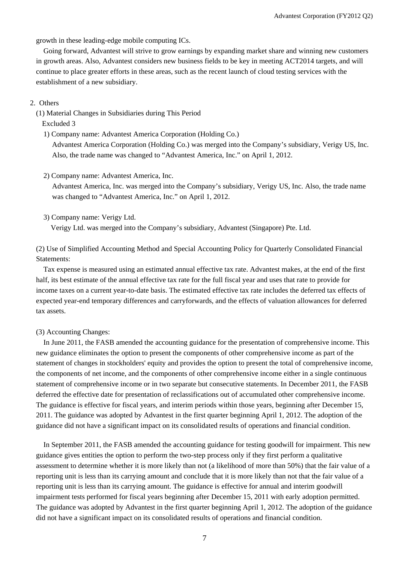growth in these leading-edge mobile computing ICs.

Going forward, Advantest will strive to grow earnings by expanding market share and winning new customers in growth areas. Also, Advantest considers new business fields to be key in meeting ACT2014 targets, and will continue to place greater efforts in these areas, such as the recent launch of cloud testing services with the establishment of a new subsidiary.

#### 2. Others

(1) Material Changes in Subsidiaries during This Period

Excluded 3

1) Company name: Advantest America Corporation (Holding Co.)

Advantest America Corporation (Holding Co.) was merged into the Company's subsidiary, Verigy US, Inc. Also, the trade name was changed to "Advantest America, Inc." on April 1, 2012.

2) Company name: Advantest America, Inc.

Advantest America, Inc. was merged into the Company's subsidiary, Verigy US, Inc. Also, the trade name was changed to "Advantest America, Inc." on April 1, 2012.

3) Company name: Verigy Ltd.

Verigy Ltd. was merged into the Company's subsidiary, Advantest (Singapore) Pte. Ltd.

(2) Use of Simplified Accounting Method and Special Accounting Policy for Quarterly Consolidated Financial Statements:

Tax expense is measured using an estimated annual effective tax rate. Advantest makes, at the end of the first half, its best estimate of the annual effective tax rate for the full fiscal year and uses that rate to provide for income taxes on a current year-to-date basis. The estimated effective tax rate includes the deferred tax effects of expected year-end temporary differences and carryforwards, and the effects of valuation allowances for deferred tax assets.

#### (3) Accounting Changes:

In June 2011, the FASB amended the accounting guidance for the presentation of comprehensive income. This new guidance eliminates the option to present the components of other comprehensive income as part of the statement of changes in stockholders' equity and provides the option to present the total of comprehensive income, the components of net income, and the components of other comprehensive income either in a single continuous statement of comprehensive income or in two separate but consecutive statements. In December 2011, the FASB deferred the effective date for presentation of reclassifications out of accumulated other comprehensive income. The guidance is effective for fiscal years, and interim periods within those years, beginning after December 15, 2011. The guidance was adopted by Advantest in the first quarter beginning April 1, 2012. The adoption of the guidance did not have a significant impact on its consolidated results of operations and financial condition.

In September 2011, the FASB amended the accounting guidance for testing goodwill for impairment. This new guidance gives entities the option to perform the two-step process only if they first perform a qualitative assessment to determine whether it is more likely than not (a likelihood of more than 50%) that the fair value of a reporting unit is less than its carrying amount and conclude that it is more likely than not that the fair value of a reporting unit is less than its carrying amount. The guidance is effective for annual and interim goodwill impairment tests performed for fiscal years beginning after December 15, 2011 with early adoption permitted. The guidance was adopted by Advantest in the first quarter beginning April 1, 2012. The adoption of the guidance did not have a significant impact on its consolidated results of operations and financial condition.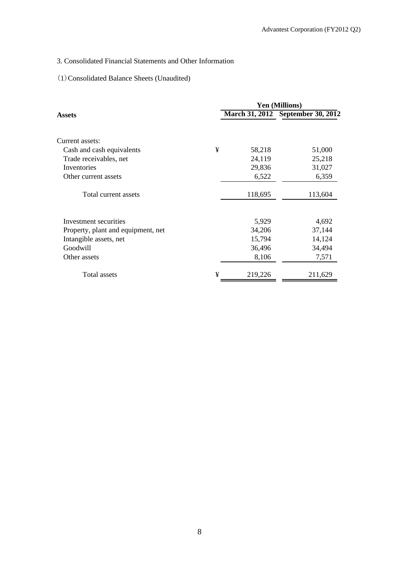## 3. Consolidated Financial Statements and Other Information

## (1)Consolidated Balance Sheets (Unaudited)

|                                    |   | Yen (Millions) |                                   |  |
|------------------------------------|---|----------------|-----------------------------------|--|
| Assets                             |   |                | March 31, 2012 September 30, 2012 |  |
| Current assets:                    |   |                |                                   |  |
| Cash and cash equivalents          | ¥ | 58,218         | 51,000                            |  |
| Trade receivables, net             |   | 24,119         | 25,218                            |  |
| Inventories                        |   | 29,836         | 31,027                            |  |
| Other current assets               |   | 6,522          | 6,359                             |  |
| Total current assets               |   | 118,695        | 113,604                           |  |
| Investment securities              |   | 5,929          | 4,692                             |  |
| Property, plant and equipment, net |   | 34,206         | 37,144                            |  |
| Intangible assets, net             |   | 15,794         | 14,124                            |  |
| Goodwill                           |   | 36,496         | 34,494                            |  |
| Other assets                       |   | 8,106          | 7,571                             |  |
| Total assets                       | ¥ | 219,226        | 211,629                           |  |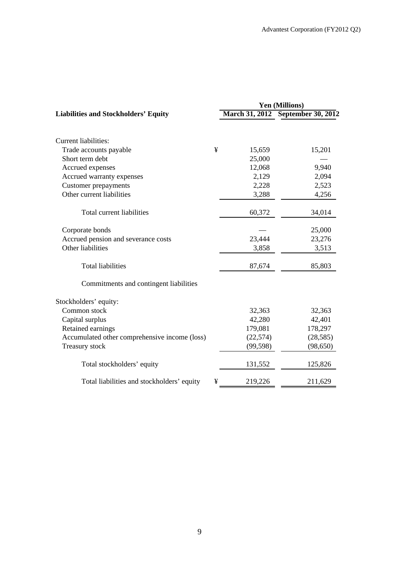|                                               | Yen (Millions) |                       |                           |  |
|-----------------------------------------------|----------------|-----------------------|---------------------------|--|
| <b>Liabilities and Stockholders' Equity</b>   |                | <b>March 31, 2012</b> | <b>September 30, 2012</b> |  |
| <b>Current liabilities:</b>                   |                |                       |                           |  |
| Trade accounts payable                        | ¥              | 15,659                | 15,201                    |  |
| Short term debt                               |                | 25,000                |                           |  |
| Accrued expenses                              |                | 12,068                | 9,940                     |  |
| Accrued warranty expenses                     |                | 2,129                 | 2,094                     |  |
| <b>Customer prepayments</b>                   |                | 2,228                 | 2,523                     |  |
| Other current liabilities                     |                | 3,288                 | 4,256                     |  |
| Total current liabilities                     |                | 60,372                | 34,014                    |  |
| Corporate bonds                               |                |                       | 25,000                    |  |
| Accrued pension and severance costs           |                | 23,444                | 23,276                    |  |
| Other liabilities                             |                | 3,858                 | 3,513                     |  |
| <b>Total liabilities</b>                      |                | 87,674                | 85,803                    |  |
| Commitments and contingent liabilities        |                |                       |                           |  |
| Stockholders' equity:                         |                |                       |                           |  |
| Common stock                                  |                | 32,363                | 32,363                    |  |
| Capital surplus                               |                | 42,280                | 42,401                    |  |
| Retained earnings                             |                | 179,081               | 178,297                   |  |
| Accumulated other comprehensive income (loss) |                | (22, 574)             | (28, 585)                 |  |
| Treasury stock                                |                | (99, 598)             | (98, 650)                 |  |
| Total stockholders' equity                    |                | 131,552               | 125,826                   |  |
| Total liabilities and stockholders' equity    | ¥              | 219,226               | 211,629                   |  |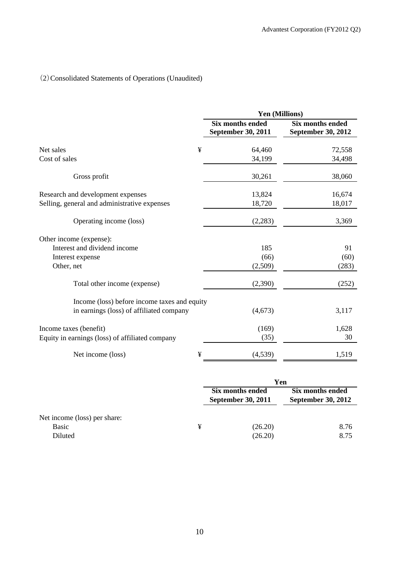# (2)Consolidated Statements of Operations (Unaudited)

|                                                 | Yen (Millions)                                |                                               |  |  |  |
|-------------------------------------------------|-----------------------------------------------|-----------------------------------------------|--|--|--|
|                                                 | <b>Six months ended</b><br>September 30, 2011 | <b>Six months ended</b><br>September 30, 2012 |  |  |  |
| ¥<br>Net sales                                  | 64,460                                        | 72,558                                        |  |  |  |
| Cost of sales                                   | 34,199                                        | 34,498                                        |  |  |  |
| Gross profit                                    | 30,261                                        | 38,060                                        |  |  |  |
| Research and development expenses               | 13,824                                        | 16,674                                        |  |  |  |
| Selling, general and administrative expenses    | 18,720                                        | 18,017                                        |  |  |  |
| Operating income (loss)                         | (2,283)                                       | 3,369                                         |  |  |  |
| Other income (expense):                         |                                               |                                               |  |  |  |
| Interest and dividend income                    | 185                                           | 91                                            |  |  |  |
| Interest expense                                | (66)                                          | (60)                                          |  |  |  |
| Other, net                                      | (2,509)                                       | (283)                                         |  |  |  |
| Total other income (expense)                    | (2,390)                                       | (252)                                         |  |  |  |
| Income (loss) before income taxes and equity    |                                               |                                               |  |  |  |
| in earnings (loss) of affiliated company        | (4,673)                                       | 3,117                                         |  |  |  |
| Income taxes (benefit)                          | (169)                                         | 1,628                                         |  |  |  |
| Equity in earnings (loss) of affiliated company | (35)                                          | 30                                            |  |  |  |
| Net income (loss)<br>¥                          | (4,539)                                       | 1,519                                         |  |  |  |

|                              |   | Yen                                           |                                               |  |  |
|------------------------------|---|-----------------------------------------------|-----------------------------------------------|--|--|
|                              |   | Six months ended<br><b>September 30, 2011</b> | Six months ended<br><b>September 30, 2012</b> |  |  |
| Net income (loss) per share: |   |                                               |                                               |  |  |
| Basic<br>Diluted             | ¥ | (26.20)<br>(26.20)                            | 8.76<br>8.75                                  |  |  |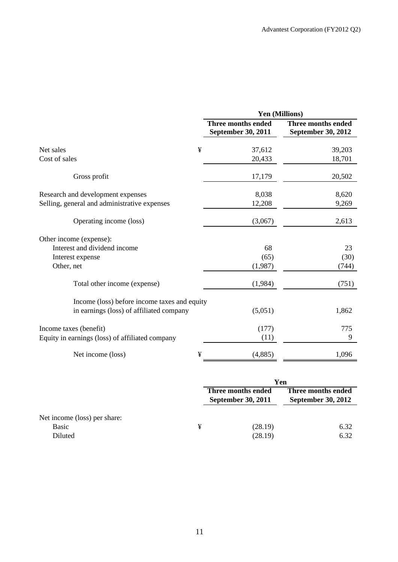|                                                 | Yen (Millions)                           |                                          |  |  |  |
|-------------------------------------------------|------------------------------------------|------------------------------------------|--|--|--|
|                                                 | Three months ended<br>September 30, 2011 | Three months ended<br>September 30, 2012 |  |  |  |
| ¥<br>Net sales                                  | 37,612                                   | 39,203                                   |  |  |  |
| Cost of sales                                   | 20,433                                   | 18,701                                   |  |  |  |
| Gross profit                                    | 17,179                                   | 20,502                                   |  |  |  |
| Research and development expenses               | 8,038                                    | 8,620                                    |  |  |  |
| Selling, general and administrative expenses    | 12,208                                   | 9,269                                    |  |  |  |
| Operating income (loss)                         | (3,067)                                  | 2,613                                    |  |  |  |
| Other income (expense):                         |                                          |                                          |  |  |  |
| Interest and dividend income                    | 68                                       | 23                                       |  |  |  |
| Interest expense                                | (65)                                     | (30)                                     |  |  |  |
| Other, net                                      | (1,987)                                  | (744)                                    |  |  |  |
| Total other income (expense)                    | (1,984)                                  | (751)                                    |  |  |  |
| Income (loss) before income taxes and equity    |                                          |                                          |  |  |  |
| in earnings (loss) of affiliated company        | (5,051)                                  | 1,862                                    |  |  |  |
| Income taxes (benefit)                          | (177)                                    | 775                                      |  |  |  |
| Equity in earnings (loss) of affiliated company | (11)                                     | 9                                        |  |  |  |
| Net income (loss)<br>¥                          | (4,885)                                  | 1,096                                    |  |  |  |

|                                                  |   | Yen                                             |                                                 |  |
|--------------------------------------------------|---|-------------------------------------------------|-------------------------------------------------|--|
|                                                  |   | Three months ended<br><b>September 30, 2011</b> | Three months ended<br><b>September 30, 2012</b> |  |
| Net income (loss) per share:<br>Basic<br>Diluted | ¥ | (28.19)<br>(28.19)                              | 6.32<br>6.32                                    |  |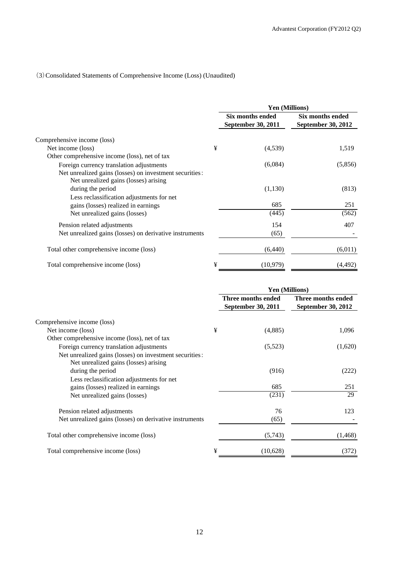### (3)Consolidated Statements of Comprehensive Income (Loss) (Unaudited)

|                                                                                                  |   | Yen (Millions)                                |                                        |  |
|--------------------------------------------------------------------------------------------------|---|-----------------------------------------------|----------------------------------------|--|
|                                                                                                  |   | Six months ended<br><b>September 30, 2011</b> | Six months ended<br>September 30, 2012 |  |
| Comprehensive income (loss)                                                                      |   |                                               |                                        |  |
| Net income (loss)                                                                                | ¥ | (4,539)                                       | 1,519                                  |  |
| Other comprehensive income (loss), net of tax                                                    |   |                                               |                                        |  |
| Foreign currency translation adjustments                                                         |   | (6,084)                                       | (5,856)                                |  |
| Net unrealized gains (losses) on investment securities:<br>Net unrealized gains (losses) arising |   |                                               |                                        |  |
| during the period                                                                                |   | (1,130)                                       | (813)                                  |  |
| Less reclassification adjustments for net                                                        |   |                                               |                                        |  |
| gains (losses) realized in earnings                                                              |   | 685                                           | 251                                    |  |
| Net unrealized gains (losses)                                                                    |   | (445)                                         | (562)                                  |  |
| Pension related adjustments                                                                      |   | 154                                           | 407                                    |  |
| Net unrealized gains (losses) on derivative instruments                                          |   | (65)                                          |                                        |  |
| Total other comprehensive income (loss)                                                          |   | (6, 440)                                      | (6,011)                                |  |
| Total comprehensive income (loss)                                                                | ¥ | (10,979)                                      | (4, 492)                               |  |

|                                                                                                  |   | <b>Yen (Millions)</b>                    |                                          |
|--------------------------------------------------------------------------------------------------|---|------------------------------------------|------------------------------------------|
|                                                                                                  |   | Three months ended<br>September 30, 2011 | Three months ended<br>September 30, 2012 |
| Comprehensive income (loss)                                                                      |   |                                          |                                          |
| Net income (loss)                                                                                | ¥ | (4,885)                                  | 1,096                                    |
| Other comprehensive income (loss), net of tax                                                    |   |                                          |                                          |
| Foreign currency translation adjustments                                                         |   | (5,523)                                  | (1,620)                                  |
| Net unrealized gains (losses) on investment securities:<br>Net unrealized gains (losses) arising |   |                                          |                                          |
| during the period                                                                                |   | (916)                                    | (222)                                    |
| Less reclassification adjustments for net                                                        |   |                                          |                                          |
| gains (losses) realized in earnings                                                              |   | 685                                      | 251                                      |
| Net unrealized gains (losses)                                                                    |   | (231)                                    | 29                                       |
| Pension related adjustments                                                                      |   | 76                                       | 123                                      |
| Net unrealized gains (losses) on derivative instruments                                          |   | (65)                                     |                                          |
| Total other comprehensive income (loss)                                                          |   | (5,743)                                  | (1, 468)                                 |
| Total comprehensive income (loss)                                                                | ¥ | (10,628)                                 | (372)                                    |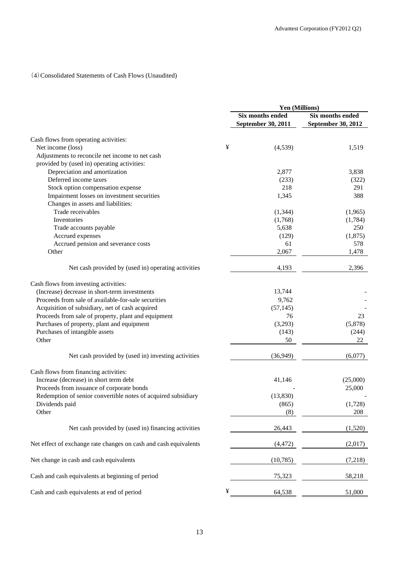### (4)Consolidated Statements of Cash Flows (Unaudited)

|                                                                  |   | Yen (Millions)                         |                                        |  |
|------------------------------------------------------------------|---|----------------------------------------|----------------------------------------|--|
|                                                                  |   | Six months ended<br>September 30, 2011 | Six months ended<br>September 30, 2012 |  |
| Cash flows from operating activities:                            |   |                                        |                                        |  |
| Net income (loss)                                                | ¥ | (4,539)                                | 1,519                                  |  |
| Adjustments to reconcile net income to net cash                  |   |                                        |                                        |  |
| provided by (used in) operating activities:                      |   |                                        |                                        |  |
| Depreciation and amortization                                    |   | 2,877                                  | 3,838                                  |  |
| Deferred income taxes                                            |   | (233)                                  | (322)                                  |  |
| Stock option compensation expense                                |   | 218                                    | 291                                    |  |
| Impairment losses on investment securities                       |   | 1,345                                  | 388                                    |  |
| Changes in assets and liabilities:                               |   |                                        |                                        |  |
| Trade receivables                                                |   | (1, 344)                               | (1,965)                                |  |
| Inventories                                                      |   | (1,768)                                | (1,784)                                |  |
| Trade accounts payable                                           |   | 5,638                                  | 250                                    |  |
| Accrued expenses                                                 |   | (129)                                  | (1,875)                                |  |
| Accrued pension and severance costs                              |   | 61                                     | 578                                    |  |
| Other                                                            |   | 2,067                                  | 1,478                                  |  |
| Net cash provided by (used in) operating activities              |   | 4,193                                  | 2,396                                  |  |
| Cash flows from investing activities:                            |   |                                        |                                        |  |
| (Increase) decrease in short-term investments                    |   | 13,744                                 |                                        |  |
| Proceeds from sale of available-for-sale securities              |   | 9,762                                  |                                        |  |
| Acquisition of subsidiary, net of cash acquired                  |   | (57, 145)                              |                                        |  |
| Proceeds from sale of property, plant and equipment              |   | 76                                     | 23                                     |  |
| Purchases of property, plant and equipment                       |   | (3,293)                                | (5,878)                                |  |
| Purchases of intangible assets                                   |   | (143)                                  | (244)                                  |  |
| Other                                                            |   | 50                                     | 22                                     |  |
| Net cash provided by (used in) investing activities              |   | (36, 949)                              | (6,077)                                |  |
| Cash flows from financing activities:                            |   |                                        |                                        |  |
| Increase (decrease) in short term debt                           |   | 41,146                                 | (25,000)                               |  |
| Proceeds from issuance of corporate bonds                        |   |                                        | 25,000                                 |  |
| Redemption of senior convertible notes of acquired subsidiary    |   | (13, 830)                              |                                        |  |
| Dividends paid                                                   |   | (865)                                  | (1,728)                                |  |
| Other                                                            |   | (8)                                    | 208                                    |  |
| Net cash provided by (used in) financing activities              |   | 26,443                                 | (1,520)                                |  |
| Net effect of exchange rate changes on cash and cash equivalents |   | (4, 472)                               | (2,017)                                |  |
| Net change in cash and cash equivalents                          |   | (10, 785)                              | (7,218)                                |  |
|                                                                  |   |                                        |                                        |  |
| Cash and cash equivalents at beginning of period                 |   | 75,323                                 | 58,218                                 |  |
| Cash and cash equivalents at end of period                       | ¥ | 64,538                                 | 51,000                                 |  |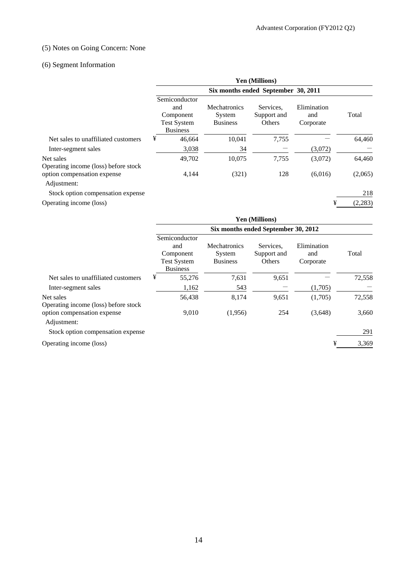### (5) Notes on Going Concern: None

## (6) Segment Information

|                                                   | <b>Yen (Millions)</b>                                                      |                                                  |                                    |                                 |          |  |  |
|---------------------------------------------------|----------------------------------------------------------------------------|--------------------------------------------------|------------------------------------|---------------------------------|----------|--|--|
|                                                   | Six months ended September 30, 2011                                        |                                                  |                                    |                                 |          |  |  |
|                                                   | Semiconductor<br>and<br>Component<br><b>Test System</b><br><b>Business</b> | <b>Mechatronics</b><br>System<br><b>Business</b> | Services.<br>Support and<br>Others | Elimination<br>and<br>Corporate | Total    |  |  |
| Net sales to unaffiliated customers               | ¥<br>46,664                                                                | 10,041                                           | 7,755                              |                                 | 64,460   |  |  |
| Inter-segment sales                               | 3,038                                                                      | 34                                               |                                    | (3,072)                         |          |  |  |
| Net sales<br>Operating income (loss) before stock | 49,702                                                                     | 10,075                                           | 7,755                              | (3,072)                         | 64,460   |  |  |
| option compensation expense<br>Adjustment:        | 4,144                                                                      | (321)                                            | 128                                | (6,016)                         | (2,065)  |  |  |
| Stock option compensation expense                 |                                                                            |                                                  |                                    |                                 | 218      |  |  |
| Operating income (loss)                           |                                                                            |                                                  |                                    | ¥                               | (2, 283) |  |  |

|                                                   | Yen (Millions)<br>Six months ended September 30, 2012                      |                                                  |                                    |                                 |            |  |  |
|---------------------------------------------------|----------------------------------------------------------------------------|--------------------------------------------------|------------------------------------|---------------------------------|------------|--|--|
|                                                   |                                                                            |                                                  |                                    |                                 |            |  |  |
|                                                   | Semiconductor<br>and<br>Component<br><b>Test System</b><br><b>Business</b> | <b>Mechatronics</b><br>System<br><b>Business</b> | Services.<br>Support and<br>Others | Elimination<br>and<br>Corporate | Total      |  |  |
| Net sales to unaffiliated customers               | ¥                                                                          | 7,631<br>55,276                                  | 9,651                              |                                 | 72,558     |  |  |
| Inter-segment sales                               |                                                                            | 543<br>1,162                                     |                                    | (1,705)                         |            |  |  |
| Net sales<br>Operating income (loss) before stock |                                                                            | 56,438<br>8,174                                  | 9,651                              | (1,705)                         | 72,558     |  |  |
| option compensation expense<br>Adjustment:        |                                                                            | 9,010<br>(1,956)                                 | 254                                | (3,648)                         | 3,660      |  |  |
| Stock option compensation expense                 |                                                                            |                                                  |                                    |                                 | 291        |  |  |
| Operating income (loss)                           |                                                                            |                                                  |                                    |                                 | ¥<br>3,369 |  |  |